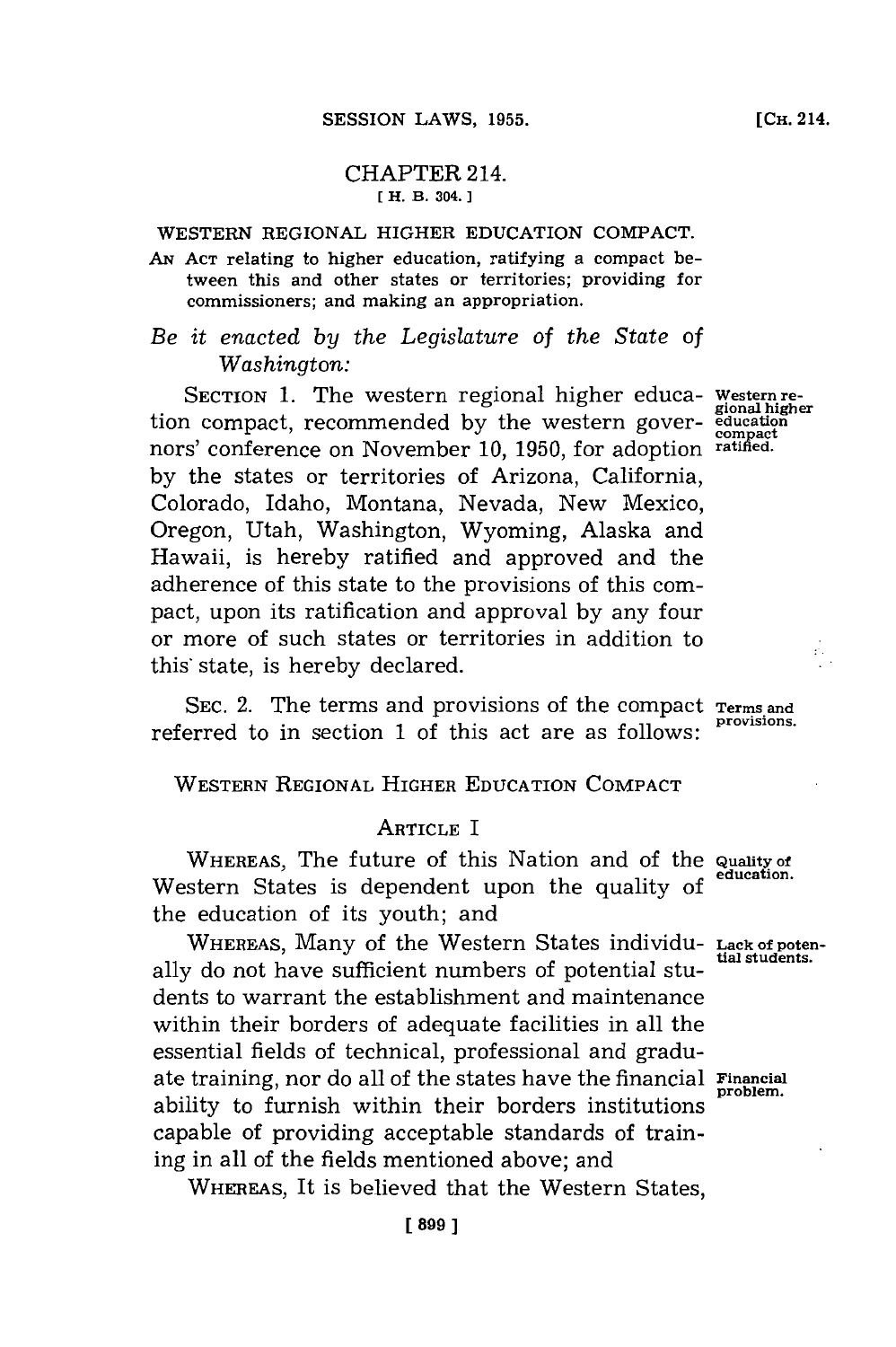### CHAPTER 214. **[ H. B. 304.]1**

### WESTERN REGIONAL HIGHER **EDUCATION COMPACT.**

- AN ACT relating to higher education, ratifying a compact between this and other states or territories; providing for commissioners; and making an appropriation.
- *Be it enacted by the Legislature of the State of Washington:*

**SECTION 1.** The western regional higher educa- **western re- gional higher** tion compact, recommended by the western gover-<br>nors' conference on November 10, 1950, for adoption ratified. nors' conference on November 10, 1950, for adoption **by** the states or territories of Arizona, California, Colorado, Idaho, Montana, Nevada, New Mexico, Oregon, Utah, Washington, Wyoming, Alaska and Hawaii, is hereby ratified and approved and the adherence of this state to the provisions of this compact, upon its ratification and approval **by** any four or more of such states or territories in addition to this'state, is hereby declared.

SEC. 2. The terms and provisions of the compact Terms and referred to in section 1 of this act are as follows:

**WESTERN REGIONAL HIGHER EDUCATION COMPACT**

### **ARTICLE** I

**WHEREAS,** The future of this Nation and of the **Quality of** Western States is dependent upon the quality of the education of its youth; and

WHEREAS, Many of the Western States individu- Lack of poten-<br>
tial students. ally do not have sufficient numbers of potential students to warrant the establishment and maintenance within their borders of adequate facilities in all the essential fields of technical, professional and graduate training, nor do all of the states have the financial **Financial** ability to furnish within their borders institutions capable of providing acceptable standards of training in all of the fields mentioned above; and

WHEREAS, It is believed that the Western States,

Á,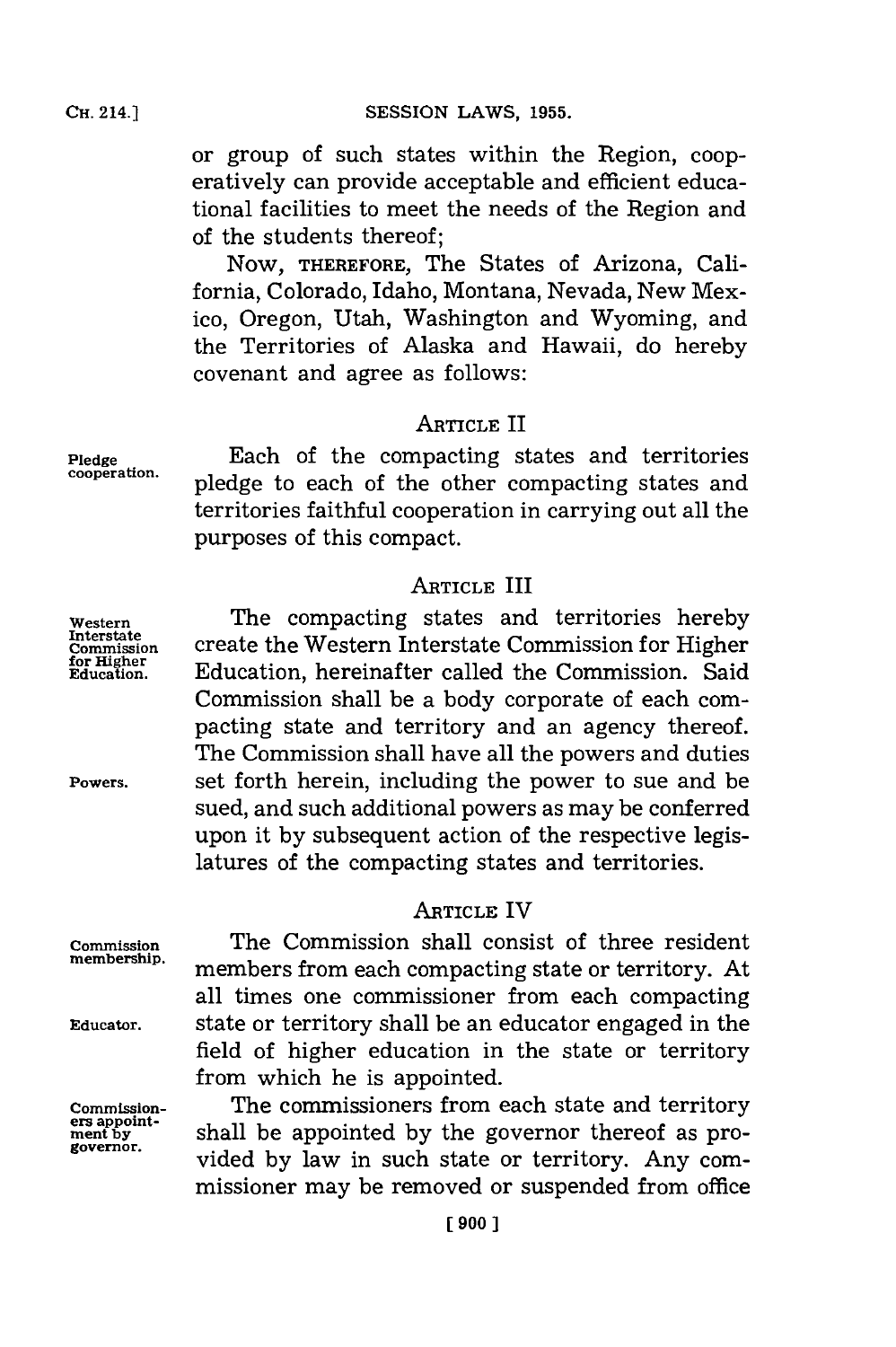or group of such states within the Region, cooperatively can provide acceptable and efficient educational facilities to meet the needs of the Region and of the students thereof;

NOW, **THEREFORE,** The States of Arizona, California, Colorado, Idaho, Montana, Nevada, New Mexico, Oregon, Utah, Washington and Wyoming, and the Territories of Alaska and Hawaii, do hereby covenant and agree as follows:

### **ARTICLE** II

**Pledge** Each of the compacting states and territories **cooperation,** pledge to each of the other compacting states and territories faithful cooperation in carrying out all the purposes of this compact.

### **ARTICLE** III

**Western** The compacting states and territories hereby **InterstateWetr Commission** create the WsenInterstate Commission for Higher **for Hiher** hriatrcle h Education, hereinafter called the Commission. Said Commission shall be a body corporate of each compacting state and territory and an agency thereof. The Commission shall have all the powers and duties **Powers.** set forth herein, including the power to sue and be sued, and such additional powers as may be conferred upon it **by** subsequent action of the respective legislatures of the compacting states and territories.

### **ARTICLE** IV

**Commission** The Commission shall consist of three resident members from each compacting state or territory. At all times one commissioner from each compacting **Ediucator.** state or territory shall be an educator engaged in the field of higher education in the state or territory from which he is appointed.

**Commission- The commissioners from each state and territory ers** appoint-<br>**ment by contract as pro- governor**. vided by law in such state or territory. Any commissioner may be removed or suspended from office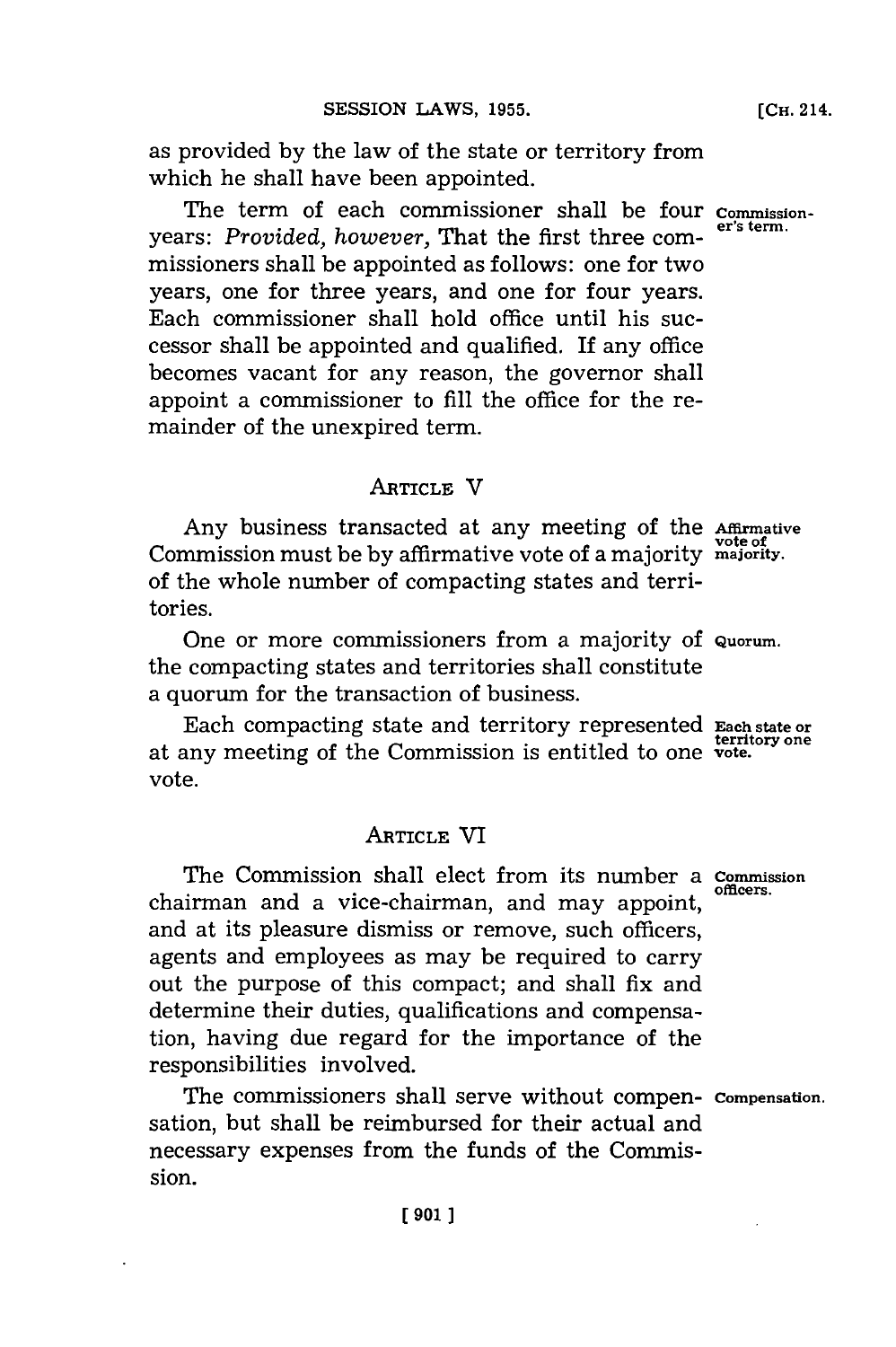as provided **by** the law of the state or territory from which he shall have been appointed.

The term of each commissioner shall be four *commission***er's term.** years: *Provided, however,* That the first three **com**missioners shall be appointed as follows: one for two years, one for three years, and one for four years. Each commissioner shall hold office until his successor shall be appointed and qualified. If any office becomes vacant for any reason, the governor shall appoint a commissioner to **fill** the office for the remainder of the unexpired term.

### **ARTICLE** V

Any business transacted at any meeting of the **Affrmative** Commission must be **by** affirmative vote of a majority **majority.** of the whole number of compacting states and territories.

One or more commissioners from a majority of **Quorum.** the compacting states and territories shall constitute a quorum for the transaction of business.

Each compacting state and territory represented **Each state or territory one** at any meeting of the Commission is entitled to one **vote.** vote.

### **ARTICLE** VI

The Commission shall elect from its number a **Commission** chairman and a vice-chairman, and may appoint, and at its pleasure dismiss or remove, such officers, agents and employees as may be required to carry out the purpose of this compact; and shall fix and determine their duties, qualifications and compensation, having due regard for the importance of the responsibilities involved.

The commissioners shall serve without compen- **Compensation.** sation, but shall be reimbursed for their actual and necessary expenses from the funds of the Commission.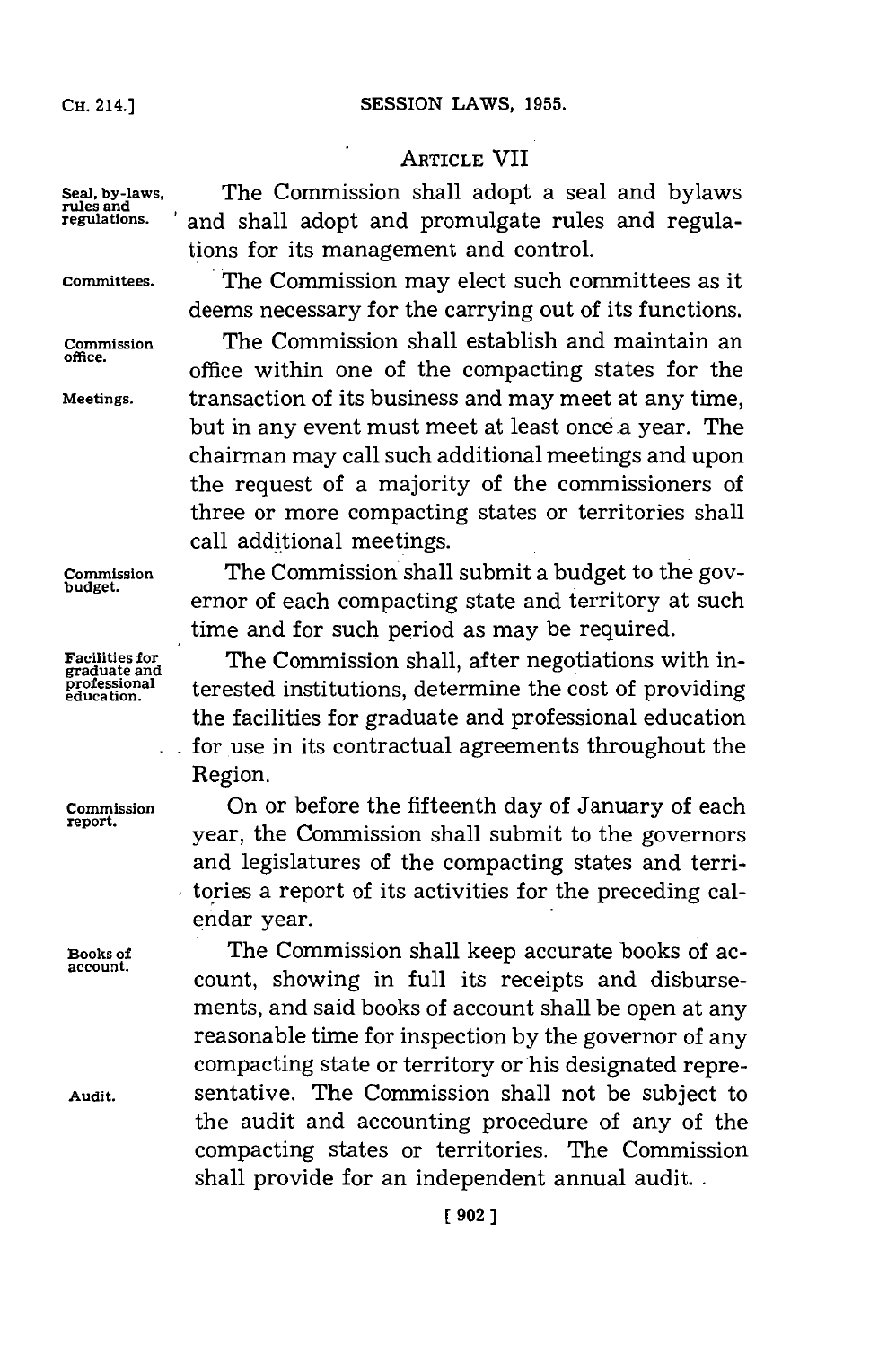#### **SESSION LAWS, 1955.**

# **CH.** 214.]

### **ARTICLE** VII

**Seal, by-laws,** The Commission shall adopt a seal and bylaws and shall adopt and promulgate rules and regulations for its management and control.

**Committees.** The Commission may elect such committees as it deems necessary for the carrying out of its functions. **Commission** The Commission shall establish and maintain an **office,** office within one of the compacting states for the **Meetings.** transaction of its business and may meet at any time, but in any event must meet at least once a year. The chairman may call such additional meetings and upon the request of a majority of the commissioners of three or more compacting states or territories shall call additional meetings.

**Commission** The Commission shall submit a budget to the governor of each compacting state and territory at such time and **for** such period as may be required.

**Facilities for The Commission shall, after negotiations with in-**<br>**graduate and**<br>**professional** tenested institutions determine the east of providing  $\frac{\bar{p} \text{rofessional}}{\bar{q} \text{d} \text{ucation}}$  terested institutions, determine the cost of providing the facilities for graduate and professional education for use in its contractual agreements throughout the Region.

**Commission** On or before the fifteenth day of January of each year, the Commission shall submit to the governors and legislatures of the compacting states and territories a report of its activities for the preceding calendar year.

**Books of** The Commission shall keep accurate books of ac- accont. count, showing in full its receipts and disbursements, and said books of account shall be open at any reasonable time for inspection **by** the governor of any compacting state or territory or his designated repre-**Audit.** sentative. The Commission shall not be subject to the audit and accounting procedure of any of the compacting states or territories. The Commission shall provide for an independent annual audit.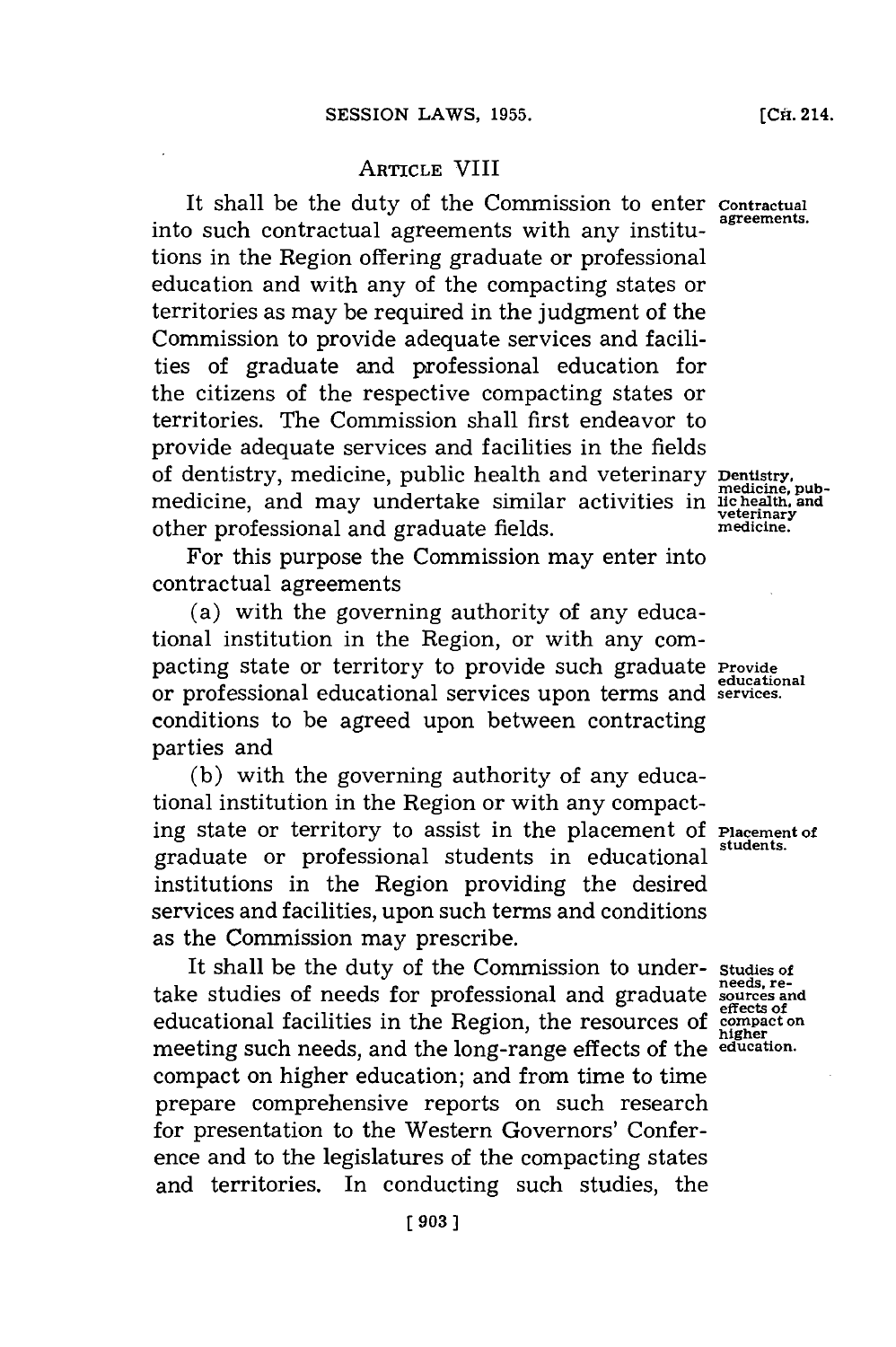## ARTICLE VIII

It shall be the duty of the Commission to enter **Contractual** into such contractual agreements with any institu- **agreements.** tions in the Region offering graduate or professional education and with any of the compacting states or territories as may be required in the judgment of the Commission to provide adequate services and facilities of graduate and professional education for the citizens of the respective compacting states or territories. The Commission shall first endeavor to provide adequate services and facilities in the fields of dentistry, medicine, public health and veterinary **Dentistry,** medicine, and may undertake similar activities in lichealth, and<br>other professional and graduate folds other professional and graduate fields.

For this purpose the Commission may enter into contractual agreements

(a) with the governing authority of any educational institution in the Region, or with any compacting state or territory to provide such graduate **Provide** or professional educational services upon terms and **services.** conditions to be agreed upon between contracting parties and

**(b)** with the governing authority of any educational institution in the Region or with any compacting state or territory to assist in the placement of **Placement of** graduate or professional students in educational institutions in the Region providing the desired services and facilities, upon such terms and conditions as the Commission may prescribe.

It shall be the duty of the Commission to under- **Studies of** take studies of needs for professional and graduate **sources** and **effects of** educational facilities in the Region, the resources of **compact on higher** meeting such needs, and the long-range effects of the **education.** compact on higher education; and from time to time prepare comprehensive reports on such research for presentation to the Western Governors' Conference and to the legislatures of the compacting states and territories. In conducting such studies, the

medicine.

**educational**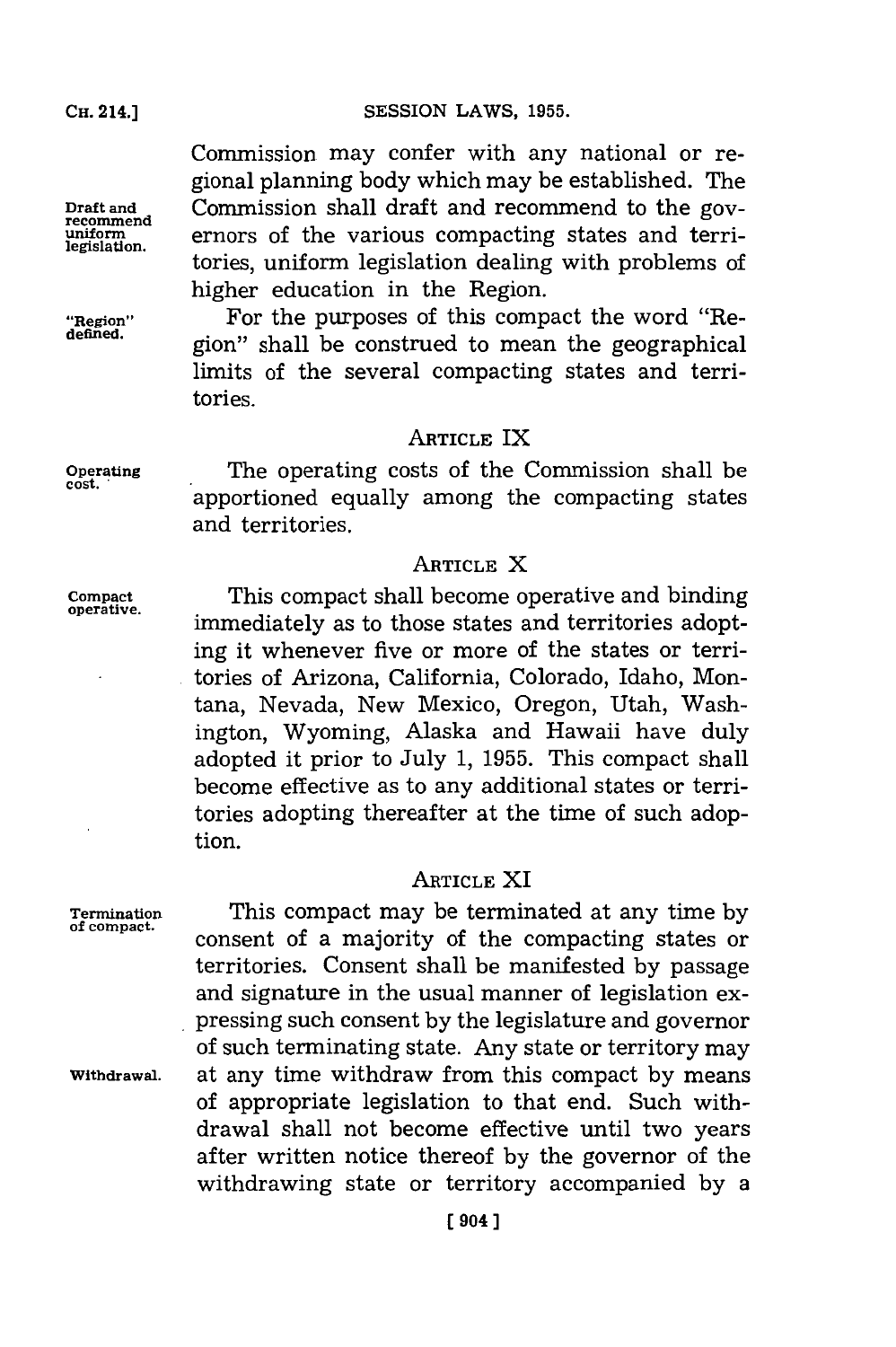**SESSION LAWS, 1955.** 

Commission may confer with any national or regional planning body which may be established. The **Draft and** Commission shall draft and recommend to the gov- **recommend uniform** ernors of the various compacting states and terni- **legislation.** tories, uniform legislation dealing with problems of higher education in the Region.

**"Region"** For the purposes of this compact the word "Region" shall be construed to mean the geographical limits of the several compacting states and territories.

### **ARTICLE** IX

**Operating** The operating costs of the Commission shall be apportioned equally among the compacting states and territories.

# **ARTICLE** X

**Compact** This compact shall become operative and binding immediately as to those states and territories adopting it whenever five or more of the states or territories of Arizona, California, Colorado, Idaho, Montana, Nevada, New Mexico, Oregon, Utah, Washington, Wyoming, Alaska and Hawaii have duly adopted it prior to July **1, 1955.** This compact shall become effective as to any additional states or territories adopting thereafter at the time of such adoption.

## **ARTICLE** XI

**Termination** This compact may be terminated at any time **by** consent of a majority of the compacting states or territories. Consent shall be manifested **by** passage and signature in the usual manner of legislation expressing such consent **by** the legislature and governor of such terminating state. Any state or territory may **Withdrawal,** at any time withdraw from this compact **by** means of appropriate legislation to that end. Such withdrawal shall not become effective until two years after written notice thereof **by** the governor of the withdrawing state or territory accompanied **by** a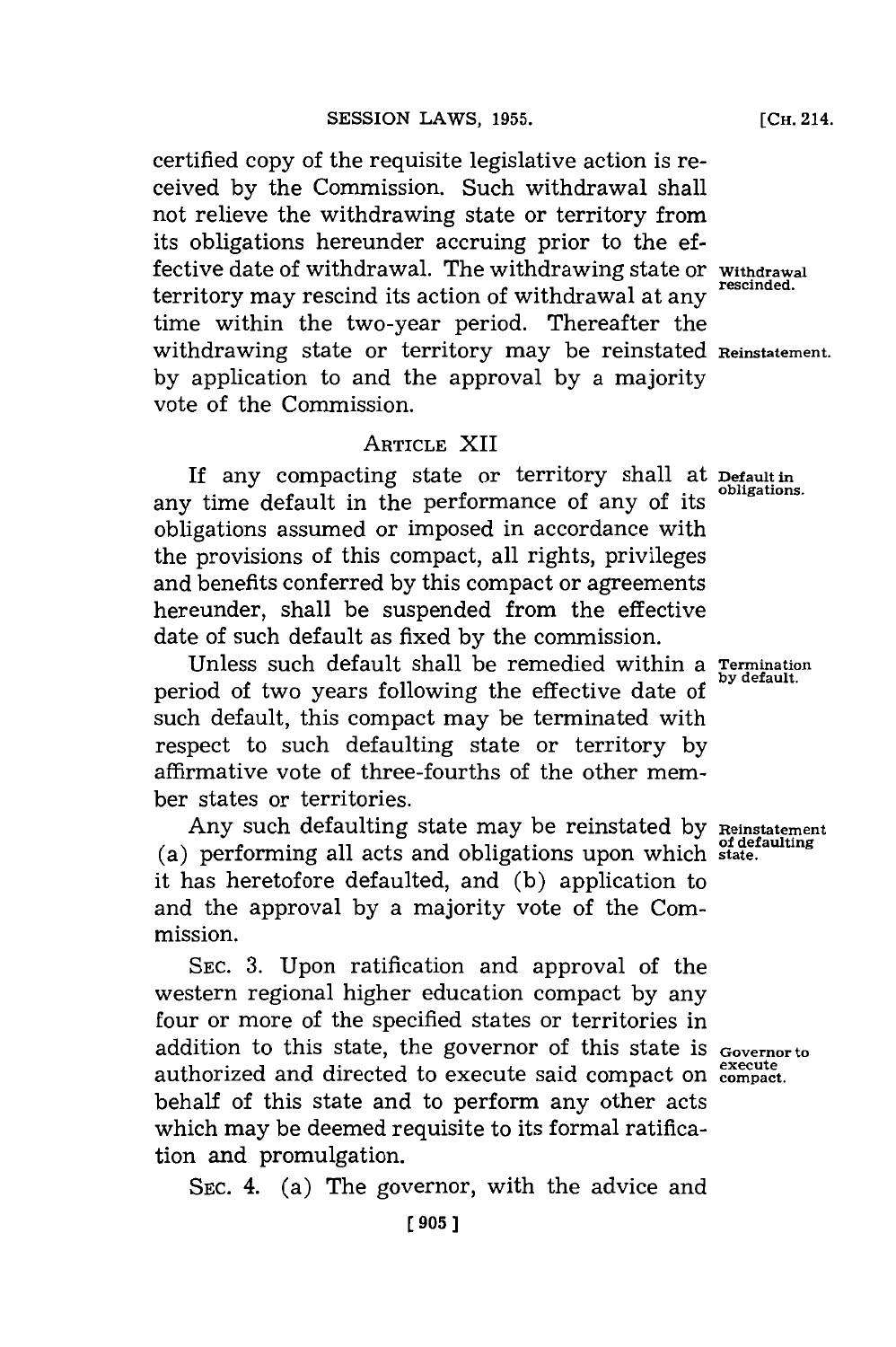certified copy of the requisite legislative action is received **by** the Conmmission. Such withdrawal shall not relieve the withdrawing state or territory from its obligations hereunder accruing prior to the effective date of withdrawal. The withdrawing state or **Withdrawal** territory may rescind its action of withdrawal at any time within the two-year period. Thereafter the withdrawing state or territory may be reinstated **Reinstatement. by** application to and the approval **by** a majority vote of the Commission.

## **ARTICLE** XII

If any compacting state or territory shall at **Default in** any time default in the performance of any of its obligations assumed or imposed in accordance with the provisions of this compact, all rights, privileges and benefits conferred **by** this compact or agreements hereunder, shall be suspended from the effective date of such default as fixed **by** the commission.

Unless such default shall be remedied within a **Termination** period of two years following the effective date of such default, this compact may be terminated with respect to such defaulting state or territory **by** affirmative vote of three-fourths of the other member states or territories.

Any such defaulting state may be reinstated by Reinstatemen (a) performing all acts and obligations upon which **state.** it has heretofore defaulted, and **(b)** application to and the approval **by** a majority vote of the Commission.

**SEC. 3.** Upon ratification and approval of the western regional higher education compact **by** any four or more of the specified states or territories in addition to this state, the governor of this state is **Governor to** authorized and directed to execute said compact on execute behalf of this state and to perform any other acts which may be deemed requisite to its formal ratification and promulgation.

**SEC.** 4. (a) The governor, with the advice and

**[CH.** 214.